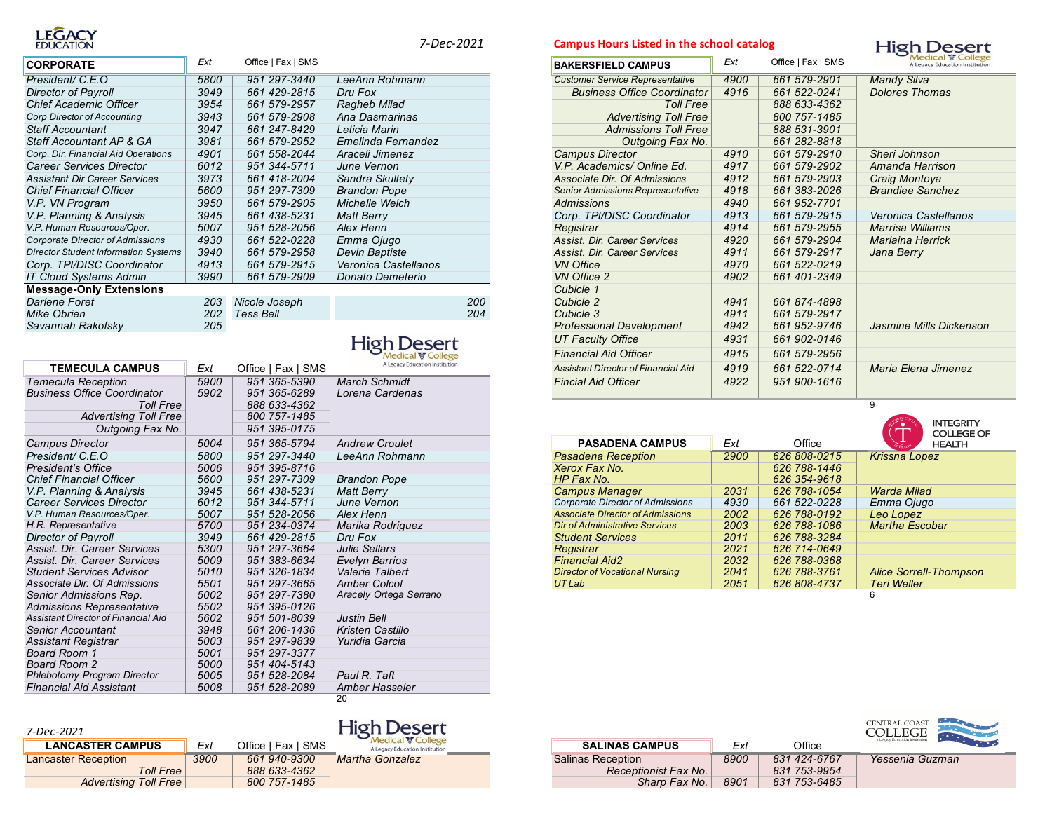

| <b>CORPORATE</b>                            | Ext  | Office   Fax   SMS |                      | <b>BAKERSFIELD CAMPUS</b>               | Ext  | Office   Fax   SMS | <b>Medical ङ Col</b><br>A Legacy Education Inst |
|---------------------------------------------|------|--------------------|----------------------|-----------------------------------------|------|--------------------|-------------------------------------------------|
| President/ C.E.O                            | 5800 | 951 297-3440       | LeeAnn Rohmann       | <b>Customer Service Representative</b>  | 4900 | 661 579-2901       | <b>Mandy Silva</b>                              |
| <b>Director of Payroll</b>                  | 3949 | 661 429-2815       | Dru Fox              | <b>Business Office Coordinator</b>      | 4916 | 661 522-0241       | <b>Dolores Thomas</b>                           |
| <b>Chief Academic Officer</b>               | 3954 | 661 579-2957       | Ragheb Milad         | <b>Toll Free</b>                        |      | 888 633-4362       |                                                 |
| <b>Corp Director of Accounting</b>          | 3943 | 661 579-2908       | Ana Dasmarinas       | <b>Advertising Toll Free</b>            |      | 800 757-1485       |                                                 |
| <b>Staff Accountant</b>                     | 3947 | 661 247-8429       | Leticia Marin        | <b>Admissions Toll Free</b>             |      | 888 531-3901       |                                                 |
| Staff Accountant AP & GA                    | 3981 | 661 579-2952       | Emelinda Fernandez   | Outgoing Fax No.                        |      | 661 282-8818       |                                                 |
| Corp. Dir. Financial Aid Operations         | 4901 | 661 558-2044       | Araceli Jimenez      | <b>Campus Director</b>                  | 4910 | 661 579-2910       | Sheri Johnson                                   |
| <b>Career Services Director</b>             | 6012 | 951 344-5711       | June Vernon          | V.P. Academics/ Online Ed.              | 4917 | 661 579-2902       | Amanda Harrison                                 |
| <b>Assistant Dir Career Services</b>        | 3973 | 661 418-2004       | Sandra Skultety      | Associate Dir. Of Admissions            | 4912 | 661 579-2903       | Craig Montoya                                   |
| <b>Chief Financial Officer</b>              | 5600 | 951 297-7309       | <b>Brandon Pope</b>  | <b>Senior Admissions Representative</b> | 4918 | 661 383-2026       | <b>Brandiee Sanchez</b>                         |
| V.P. VN Program                             | 3950 | 661 579-2905       | Michelle Welch       | Admissions                              | 4940 | 661 952-7701       |                                                 |
| V.P. Planning & Analysis                    | 3945 | 661 438-5231       | <b>Matt Berry</b>    | Corp. TPI/DISC Coordinator              | 4913 | 661 579-2915       | Veronica Castellanos                            |
| V.P. Human Resources/Oper.                  | 5007 | 951 528-2056       | Alex Henn            | Registrar                               | 4914 | 661 579-2955       | Marrisa Williams                                |
| Corporate Director of Admissions            | 4930 | 661 522-0228       | Emma Ojugo           | Assist. Dir. Career Services            | 4920 | 661 579-2904       | <b>Marlaina Herrick</b>                         |
| <b>Director Student Information Systems</b> | 3940 | 661 579-2958       | Devin Baptiste       | Assist. Dir. Career Services            | 4911 | 661 579-2917       | Jana Berry                                      |
| Corp. TPI/DISC Coordinator                  | 4913 | 661 579-2915       | Veronica Castellanos | <b>VN Office</b>                        | 4970 | 661 522-0219       |                                                 |
| <b>IT Cloud Systems Admin</b>               | 3990 | 661 579-2909       | Donato Demeterio     | <b>VN Office 2</b>                      | 4902 | 661 401-2349       |                                                 |
| <b>Message-Only Extensions</b>              |      |                    |                      | Cubicle 1                               |      |                    |                                                 |
| Darlene Foret                               | 203  | Nicole Joseph      | 200                  | Cubicle 2                               | 4941 | 661 874-4898       |                                                 |
| <b>Mike Obrien</b>                          | 202  | Tess Bell          | 204                  | Cubicle 3                               | 4911 | 661 579-2917       |                                                 |
| Savannah Rakofsky                           | 205  |                    |                      | <b>Professional Development</b>         | 4942 | 661 952-9746       | Jasmine Mills Dicken                            |

# **High Desert**

|                                     |      |                    | Medical College                | <b>Financial Aid Officer</b>            | 4915 | 661 579-2956 |                                      |
|-------------------------------------|------|--------------------|--------------------------------|-----------------------------------------|------|--------------|--------------------------------------|
| <b>TEMECULA CAMPUS</b>              | Ext  | Office   Fax   SMS | A Legacy Education Institution | Assistant Director of Financial Aid     | 4919 | 661 522-0714 | Maria Elena Jimenez                  |
| <b>Temecula Reception</b>           | 5900 | 951 365-5390       | <b>March Schmidt</b>           | <b>Fincial Aid Officer</b>              | 4922 | 951 900-1616 |                                      |
| <b>Business Office Coordinator</b>  | 5902 | 951 365-6289       | Lorena Cardenas                |                                         |      |              |                                      |
| <b>Toll Free</b>                    |      | 888 633-4362       |                                |                                         |      |              | q                                    |
| <b>Advertising Toll Free</b>        |      | 800 757-1485       |                                |                                         |      |              |                                      |
| Outgoing Fax No.                    |      | 951 395-0175       |                                |                                         |      |              | <b>INTEGRITY</b><br><b>COLLEGE C</b> |
| Campus Director                     | 5004 | 951 365-5794       | <b>Andrew Croulet</b>          | <b>PASADENA CAMPUS</b>                  | Ext  | Office       | <b>HEALTH</b>                        |
| President/ C.E.O                    | 5800 | 951 297-3440       | LeeAnn Rohmann                 | <b>Pasadena Reception</b>               | 2900 | 626 808-0215 | <b>Krissna Lopez</b>                 |
| <b>President's Office</b>           | 5006 | 951 395-8716       |                                | Xerox Fax No.                           |      | 626 788-1446 |                                      |
| <b>Chief Financial Officer</b>      | 5600 | 951 297-7309       | <b>Brandon Pope</b>            | HP Fax No.                              |      | 626 354-9618 |                                      |
| V.P. Planning & Analysis            | 3945 | 661 438-5231       | <b>Matt Berry</b>              | <b>Campus Manager</b>                   | 2031 | 626 788-1054 | <b>Warda Milad</b>                   |
| <b>Career Services Director</b>     | 6012 | 951 344-5711       | June Vernon                    | <b>Corporate Director of Admissions</b> | 4930 | 661 522-0228 | Emma Ojugo                           |
| V.P. Human Resources/Oper.          | 5007 | 951 528-2056       | Alex Henn                      | <b>Associate Director of Admissions</b> | 2002 | 626 788-0192 | Leo Lopez                            |
| H.R. Representative                 | 5700 | 951 234-0374       | Marika Rodriguez               | <b>Dir of Administrative Services</b>   | 2003 | 626 788-1086 | <b>Martha Escobar</b>                |
| <b>Director of Payroll</b>          | 3949 | 661 429-2815       | Dru Fox                        | <b>Student Services</b>                 | 2011 | 626 788-3284 |                                      |
| Assist, Dir. Career Services        | 5300 | 951 297-3664       | Julie Sellars                  | Reaistrar                               | 2021 | 626 714-0649 |                                      |
| Assist, Dir. Career Services        | 5009 | 951 383-6634       | Evelyn Barrios                 | <b>Financial Aid2</b>                   | 2032 | 626 788-0368 |                                      |
| <b>Student Services Advisor</b>     | 5010 | 951 326-1834       | <b>Valerie Talbert</b>         | <b>Director of Vocational Nursing</b>   | 2041 | 626 788-3761 | <b>Alice Sorrell-Thompson</b>        |
| Associate Dir. Of Admissions        | 5501 | 951 297-3665       | <b>Amber Colcol</b>            | <b>UTLab</b>                            | 2051 | 626 808-4737 | <b>Teri Weller</b>                   |
| Senior Admissions Rep.              | 5002 | 951 297-7380       | Aracely Ortega Serrano         |                                         |      |              | 6                                    |
| <b>Admissions Representative</b>    | 5502 | 951 395-0126       |                                |                                         |      |              |                                      |
| Assistant Director of Financial Aid | 5602 | 951 501-8039       | <b>Justin Bell</b>             |                                         |      |              |                                      |
| <b>Senior Accountant</b>            | 3948 | 661 206-1436       | Kristen Castillo               |                                         |      |              |                                      |
| Assistant Registrar                 | 5003 | 951 297-9839       | Yuridia Garcia                 |                                         |      |              |                                      |
| Board Room 1                        | 5001 | 951 297-3377       |                                |                                         |      |              |                                      |
| Board Room 2                        | 5000 | 951 404-5143       |                                |                                         |      |              |                                      |
| Phlebotomy Program Director         | 5005 | 951 528-2084       | Paul R. Taft                   |                                         |      |              |                                      |
| <b>Financial Aid Assistant</b>      | 5008 | 951 528-2089       | Amber Hasseler                 |                                         |      |              |                                      |
|                                     |      |                    | 20                             |                                         |      |              |                                      |

### *7-Dec-2021* **LANCASTER CAMPUS** *Ext* Office | Fax | SMS<br> **LANCASTER CAMPUS** *Ext* Office | Fax | SMS<br> **SALINAS** *Regacy Education Institution*<br> *COM Free B88 633-4365*<br> *Advertising Toll Free 888 633-4365*<br> *Advertising Toll Free* 8 Lancaster Reception *3900 661 940-9300 Martha Gonzalez* Salinas Reception *8900 831 424-6767 Yessenia Guzman Toll Free 888 633-4362 Receptionist Fax No. 831 753-9954 Advertising Toll Free*

### *7-Dec-2021* **Campus Hours Listed in the school catalog**



| Ext  | Office   Fax   SMS |                                | <b>BAKERSFIELD CAMPUS</b>                  | Ext  | Office   Fax   SMS | <b>IVICCIICAI &amp; COIICKC</b><br>A Legacy Education Institution |
|------|--------------------|--------------------------------|--------------------------------------------|------|--------------------|-------------------------------------------------------------------|
| 5800 | 951 297-3440       | LeeAnn Rohmann                 | <b>Customer Service Representative</b>     | 4900 | 661 579-2901       | <b>Mandy Silva</b>                                                |
| 3949 | 661 429-2815       | Dru Fox                        | <b>Business Office Coordinator</b>         | 4916 | 661 522-0241       | <b>Dolores Thomas</b>                                             |
| 3954 | 661 579-2957       | Ragheb Milad                   | <b>Toll Free</b>                           |      | 888 633-4362       |                                                                   |
| 3943 | 661 579-2908       | Ana Dasmarinas                 | <b>Advertising Toll Free</b>               |      | 800 757-1485       |                                                                   |
| 3947 | 661 247-8429       | Leticia Marin                  | <b>Admissions Toll Free</b>                |      | 888 531-3901       |                                                                   |
| 3981 | 661 579-2952       | Emelinda Fernandez             | Outgoing Fax No.                           |      | 661 282-8818       |                                                                   |
| 4901 | 661 558-2044       | Araceli Jimenez                | <b>Campus Director</b>                     | 4910 | 661 579-2910       | Sheri Johnson                                                     |
| 6012 | 951 344-5711       | June Vernon                    | V.P. Academics/ Online Ed.                 | 4917 | 661 579-2902       | Amanda Harrison                                                   |
| 3973 | 661 418-2004       | Sandra Skultety                | Associate Dir. Of Admissions               | 4912 | 661 579-2903       | Craig Montoya                                                     |
| 5600 | 951 297-7309       | <b>Brandon Pope</b>            | <b>Senior Admissions Representative</b>    | 4918 | 661 383-2026       | <b>Brandiee Sanchez</b>                                           |
| 3950 | 661 579-2905       | Michelle Welch                 | <b>Admissions</b>                          | 4940 | 661 952-7701       |                                                                   |
| 3945 | 661 438-5231       | <b>Matt Berry</b>              | Corp. TPI/DISC Coordinator                 | 4913 | 661 579-2915       | Veronica Castellanos                                              |
| 5007 | 951 528-2056       | Alex Henn                      | Registrar                                  | 4914 | 661 579-2955       | <b>Marrisa Williams</b>                                           |
| 4930 | 661 522-0228       | Emma Ojugo                     | Assist. Dir. Career Services               | 4920 | 661 579-2904       | <b>Marlaina Herrick</b>                                           |
| 3940 | 661 579-2958       | Devin Baptiste                 | Assist. Dir. Career Services               | 4911 | 661 579-2917       | Jana Berry                                                        |
| 4913 | 661 579-2915       | Veronica Castellanos           | <b>VN Office</b>                           | 4970 | 661 522-0219       |                                                                   |
| 3990 | 661 579-2909       | Donato Demeterio               | <b>VN Office 2</b>                         | 4902 | 661 401-2349       |                                                                   |
|      |                    |                                | Cubicle 1                                  |      |                    |                                                                   |
| 203  | Nicole Joseph      | 200                            | Cubicle 2                                  | 4941 | 661 874-4898       |                                                                   |
| 202  | <b>Tess Bell</b>   | 204                            | Cubicle 3                                  | 4911 | 661 579-2917       |                                                                   |
| 205  |                    |                                | <b>Professional Development</b>            | 4942 | 661 952-9746       | Jasmine Mills Dickenson                                           |
|      |                    | <b>High Desert</b>             | <b>UT Faculty Office</b>                   | 4931 | 661 902-0146       |                                                                   |
|      |                    | Medical & College              | <b>Financial Aid Officer</b>               | 4915 | 661 579-2956       |                                                                   |
| Ext  | Office   Fax   SMS | A Legacy Education Institution | <b>Assistant Director of Financial Aid</b> | 4919 | 661 522-0714       | Maria Elena Jimenez                                               |
| 5900 | 951 365-5390       | <b>March Schmidt</b>           | <b>Fincial Aid Officer</b>                 | 4922 | 951 900-1616       |                                                                   |
| 5902 | 951 365-6289       | Lorena Cardenas                |                                            |      |                    |                                                                   |

|                                     |      |              | <b>INTEGRITY</b><br><b>COLLEGE OF</b> |
|-------------------------------------|------|--------------|---------------------------------------|
| <b>PASADENA CAMPUS</b>              | Ext  | Office       | <b>HEALTH</b>                         |
| asadena Reception                   | 2900 | 626 808-0215 | <b>Krissna Lopez</b>                  |
| erox Fax No.                        |      | 626 788-1446 |                                       |
| P Fax No.                           |      | 626 354-9618 |                                       |
| ampus Manager                       | 2031 | 626 788-1054 | Warda Milad                           |
| orporate Director of Admissions     | 4930 | 661 522-0228 | Emma Oiugo                            |
| ssociate Director of Admissions     | 2002 | 626 788-0192 | Leo Lopez                             |
| r of Administrative Services        | 2003 | 626 788-1086 | <b>Martha Escobar</b>                 |
| tudent Services                     | 2011 | 626 788-3284 |                                       |
| eaistrar                            | 2021 | 626 714-0649 |                                       |
| inancial Aid2                       | 2032 | 626 788-0368 |                                       |
| <b>rector of Vocational Nursing</b> | 2041 | 626 788-3761 | <b>Alice Sorrell-Thompson</b>         |
| TLab                                | 2051 | 626 808-4737 | <b>Teri Weller</b>                    |
|                                     |      |              | 6                                     |

|                       |      |              | <b>CENTRAL COAST</b><br>a Legacy Education Institution |
|-----------------------|------|--------------|--------------------------------------------------------|
| <b>SALINAS CAMPUS</b> | Ext  | Office       |                                                        |
| linas Reception       | 8900 | 831 424-6767 | Yessenia Guzman                                        |
| Receptionist Fax No.  |      | 831 753-9954 |                                                        |
| Sharp Fax No.         | 8901 | 831 753-6485 |                                                        |